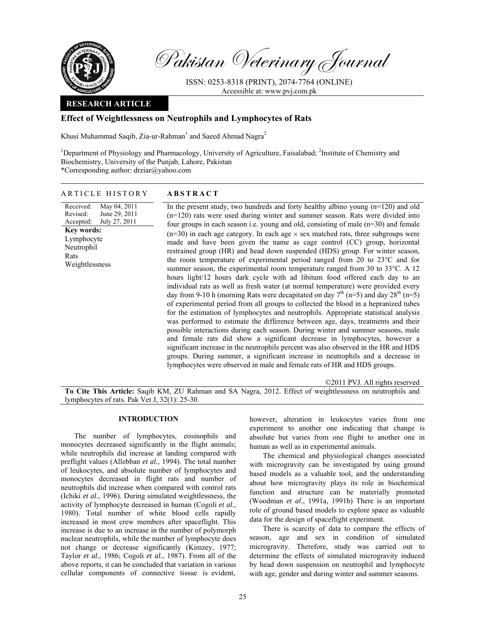

Pakistan Veterinary Journal

ISSN: 0253-8318 (PRINT), 2074-7764 (ONLINE) Accessible at: www.pvj.com.pk

### **RESEARCH ARTICLE**

# **Effect of Weightlessness on Neutrophils and Lymphocytes of Rats**

Khusi Muhammad Saqib, Zia-ur-Rahman<sup>1</sup> and Saeed Ahmad Nagra<sup>2</sup>

<sup>1</sup>Department of Physiology and Pharmacology, University of Agriculture, Faisalabad; <sup>2</sup>Institute of Chemistry and Biochemistry, University of the Punjab, Lahore, Pakistan \*Corresponding author: drziar@yahoo.com

### ARTICLE HISTORY **ABSTRACT**

Received: Revised: Accepted: May 04, 2011 June 29, 2011 July 27, 2011 **Key words:**  Lymphocyte Neutrophil Rats Weightlessness In the present study, two hundreds and forty healthy albino young  $(n=120)$  and old (n=120) rats were used during winter and summer season. Rats were divided into four groups in each season i.e. young and old, consisting of male (n=30) and female  $(n=30)$  in each age category. In each age  $\times$  sex matched rats, three subgroups were made and have been given the name as cage control (CC) group, horizontal restrained group (HR) and head down suspended (HDS) group. For winter season, the room temperature of experimental period ranged from 20 to 23°C and for summer season, the experimental room temperature ranged from 30 to 33°C. A 12 hours light/12 hours dark cycle with ad libitum food offered each day to an individual rats as well as fresh water (at normal temperature) were provided every day from 9-10 h (morning Rats were decapitated on day  $7<sup>th</sup>$  (n=5) and day  $28<sup>th</sup>$  (n=5) of experimental period from all groups to collected the blood in a hepranized tubes for the estimation of lymphocytes and neutrophils. Appropriate statistical analysis was performed to estimate the difference between age, days, treatments and their possible interactions during each season. During winter and summer seasons, male and female rats did show a significant decrease in lymphocytes, however a significant increase in the neutrophils percent was also observed in the HR and HDS groups. During summer, a significant increase in neutrophils and a decrease in lymphocytes were observed in male and female rats of HR and HDS groups.

©2011 PVJ. All rights reserved **To Cite This Article:** Saqib KM, ZU Rahman and SA Nagra, 2012. Effect of weightlessness on neutrophils and lymphocytes of rats. Pak Vet J, 32(1): 25-30.

# **INTRODUCTION**

The number of lymphocytes, eosinophils and monocytes decreased significantly in the flight animals; while neutrophils did increase at landing compared with preflight values (Allebban *et al.,* 1994). The total number of leukocytes, and absolute number of lymphocytes and monocytes decreased in flight rats and number of neutrophils did increase when compared with control rats (Ichiki *et al.*, 1996). During simulated weightlessness, the activity of lymphocyte decreased in human (Cogoli *et al.*, 1980). Total number of white blood cells rapidly increased in most crew members after spaceflight. This increase is due to an increase in the number of polymorph nuclear neutrophils, while the number of lymphocyte does not change or decrease significantly (Kimzey, 1977; Taylor *et al.*, 1986; Cogoli *et al.*, 1987). From all of the above reports, it can be concluded that variation in various cellular components of connective tissue is evident,

however, alteration in leukocytes varies from one experiment to another one indicating that change is absolute but varies from one flight to another one in human as well as in experimental animals.

The chemical and physiological changes associated with microgravity can be investigated by using ground based models as a valuable tool, and the understanding about how microgravity plays its role in biochemical function and structure can be materially promoted (Woodman *et al*., 1991a, 1991b) There is an important role of ground based models to explore space as valuable data for the design of spaceflight experiment.

There is scarcity of data to compare the effects of season, age and sex in condition of simulated microgravity. Therefore, study was carried out to determine the effects of simulated microgravity induced by head down suspension on neutrophil and lymphocyte with age, gender and during winter and summer seasons.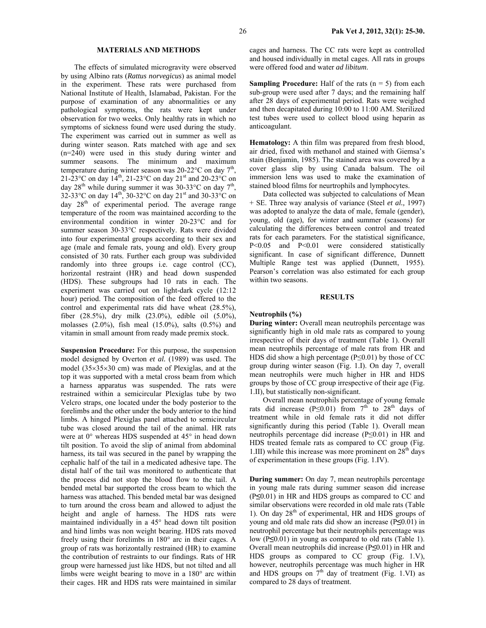# **MATERIALS AND METHODS**

The effects of simulated microgravity were observed by using Albino rats (*Rattus norvegicus*) as animal model in the experiment. These rats were purchased from National Institute of Health, Islamabad, Pakistan. For the purpose of examination of any abnormalities or any pathological symptoms, the rats were kept under observation for two weeks. Only healthy rats in which no symptoms of sickness found were used during the study. The experiment was carried out in summer as well as during winter season. Rats matched with age and sex (n=240) were used in this study during winter and summer seasons. The minimum and maximum temperature during winter season was  $20\n-22^{\circ}\text{C}$  on day  $7^{\text{th}}$ , 21-23°C on day  $14^{th}$ , 21-23°C on day  $21^{st}$  and 20-23°C on day  $28<sup>th</sup>$  while during summer it was 30-33°C on day  $7<sup>th</sup>$ , 32-33°C on day 14th, 30-32°C on day 21st and 30-33°C on day 28<sup>th</sup> of experimental period. The average range temperature of the room was maintained according to the environmental condition in winter 20-23°C and for summer season 30-33°C respectively. Rats were divided into four experimental groups according to their sex and age (male and female rats, young and old). Every group consisted of 30 rats. Further each group was subdivided randomly into three groups i.e. cage control (CC), horizontal restraint (HR) and head down suspended (HDS). These subgroups had 10 rats in each. The experiment was carried out on light-dark cycle (12:12 hour) period. The composition of the feed offered to the control and experimental rats did have wheat (28.5%), fiber (28.5%), dry milk (23.0%), edible oil (5.0%), molasses (2.0%), fish meal (15.0%), salts (0.5%) and vitamin in small amount from ready made premix stock.

**Suspension Procedure:** For this purpose, the suspension model designed by Overton *et al.* (1989) was used. The model (35×35×30 cm) was made of Plexiglas, and at the top it was supported with a metal cross beam from which a harness apparatus was suspended. The rats were restrained within a semicircular Plexiglas tube by two Velcro straps, one located under the body posterior to the forelimbs and the other under the body anterior to the hind limbs. A hinged Plexiglas panel attached to semicircular tube was closed around the tail of the animal. HR rats were at 0° whereas HDS suspended at 45° in head down tilt position. To avoid the slip of animal from abdominal harness, its tail was secured in the panel by wrapping the cephalic half of the tail in a medicated adhesive tape. The distal half of the tail was monitored to authenticate that the process did not stop the blood flow to the tail. A bended metal bar supported the cross beam to which the harness was attached. This bended metal bar was designed to turn around the cross beam and allowed to adjust the height and angle of harness. The HDS rats were maintained individually in a 45° head down tilt position and hind limbs was non weight bearing. HDS rats moved freely using their forelimbs in 180° arc in their cages. A group of rats was horizontally restrained (HR) to examine the contribution of restraints to our findings. Rats of HR group were harnessed just like HDS, but not tilted and all limbs were weight bearing to move in a 180° arc within their cages. HR and HDS rats were maintained in similar

cages and harness. The CC rats were kept as controlled and housed individually in metal cages. All rats in groups were offered food and water *ad libitum*.

**Sampling Procedure:** Half of the rats  $(n = 5)$  from each sub-group were used after 7 days; and the remaining half after 28 days of experimental period. Rats were weighed and then decapitated during 10:00 to 11:00 AM. Sterilized test tubes were used to collect blood using heparin as anticoagulant.

**Hematology:** A thin film was prepared from fresh blood, air dried, fixed with methanol and stained with Giemsa's stain (Benjamin, 1985). The stained area was covered by a cover glass slip by using Canada balsum. The oil immersion lens was used to make the examination of stained blood films for neurtrophils and lymphocytes.

Data collected was subjected to calculations of Mean + SE. Three way analysis of variance (Steel *et al.,* 1997) was adopted to analyze the data of male, female (gender), young, old (age), for winter and summer (seasons) for calculating the differences between control and treated rats for each parameters. For the statistical significance, P<0.05 and P<0.01 were considered statistically significant. In case of significant difference, Dunnett Multiple Range test was applied (Dunnett, 1955). Pearson's correlation was also estimated for each group within two seasons.

#### **RESULTS**

#### **Neutrophils (%)**

**During winter:** Overall mean neutrophils percentage was significantly high in old male rats as compared to young irrespective of their days of treatment (Table 1). Overall mean neutrophils percentage of male rats from HR and HDS did show a high percentage ( $P \le 0.01$ ) by those of CC group during winter season (Fig. 1.I). On day 7, overall mean neutrophils were much higher in HR and HDS groups by those of CC group irrespective of their age (Fig. 1.II), but statistically non-significant.

Overall mean neutrophils percentage of young female rats did increase (P≤0.01) from  $7<sup>th</sup>$  to 28<sup>th</sup> days of treatment while in old female rats it did not differ significantly during this period (Table 1). Overall mean neutrophils percentage did increase (P≤0.01) in HR and HDS treated female rats as compared to CC group (Fig. 1.III) while this increase was more prominent on  $28<sup>th</sup>$  days of experimentation in these groups (Fig. 1.IV).

**During summer:** On day 7, mean neutrophils percentage in young male rats during summer season did increase (P**≤**0.01) in HR and HDS groups as compared to CC and similar observations were recorded in old male rats (Table 1). On day  $28<sup>th</sup>$  of experimental, HR and HDS groups of young and old male rats did show an increase (P**≤**0.01) in neutrophil percentage but their neutrophils percentage was low (P**≤**0.01) in young as compared to old rats (Table 1). Overall mean neutrophils did increase (P**≤**0.01) in HR and HDS groups as compared to CC group (Fig. 1.V), however, neutrophils percentage was much higher in HR and HDS groups on  $7<sup>th</sup>$  day of treatment (Fig. 1.VI) as compared to 28 days of treatment.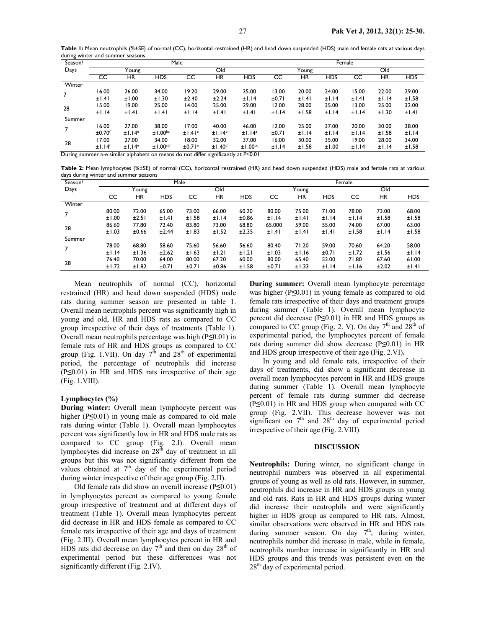| ັ       |                    |                    |                                                                                          |                    |                    |                    |       |        |            |       |           |            |  |  |
|---------|--------------------|--------------------|------------------------------------------------------------------------------------------|--------------------|--------------------|--------------------|-------|--------|------------|-------|-----------|------------|--|--|
| Season/ | Male               |                    |                                                                                          |                    |                    |                    |       | Female |            |       |           |            |  |  |
| Days    | Young              |                    |                                                                                          | Old                |                    |                    | Young |        |            | Old   |           |            |  |  |
|         | CC                 | ΗR                 | <b>HDS</b>                                                                               | CC                 | ΗR                 | <b>HDS</b>         | CC    | ΗR     | <b>HDS</b> | CC    | <b>HR</b> | <b>HDS</b> |  |  |
| Winter  |                    |                    |                                                                                          |                    |                    |                    |       |        |            |       |           |            |  |  |
|         | 16.00              | 26.00              | 34.00                                                                                    | 19.20              | 29.00              | 35.00              | 13.00 | 20.00  | 24.00      | 15.00 | 22.00     | 29.00      |  |  |
|         | ±1.41              | ±1.00              | ±1.30                                                                                    | ±2.40              | ±2.24              | ±1.14              | ±0.71 | ±1.41  | ±1.14      | ±1.41 | ±1.14     | ±1.58      |  |  |
| 28      | 15.00              | 19.00              | 25.00                                                                                    | 14.00              | 25.00              | 29.00              | 12.00 | 28.00  | 35.00      | 13.00 | 25.00     | 32.00      |  |  |
|         | ±1.14              | ±1.41              | ±1.41                                                                                    | ±1.14              | ±1.41              | ±1.41              | ±1.14 | ±1.58  | ±1.14      | ±1.14 | ±1.30     | ±1.41      |  |  |
| Summer  |                    |                    |                                                                                          |                    |                    |                    |       |        |            |       |           |            |  |  |
|         | 16.00              | 27.00              | 38.00                                                                                    | 17.00              | 40.00              | 46.00              | 12.00 | 25.00  | 37.00      | 20.00 | 30.00     | 38.00      |  |  |
|         | ±0.70 <sup>f</sup> | ±1.14 <sup>e</sup> | $±1.00^{bc}$                                                                             | ±1.41 <sup>e</sup> | ±1.14 <sup>b</sup> | ±1.14 <sup>a</sup> | ±0.71 | ±1.14  | ±1.14      | ±1.14 | ±1.58     | ±1.14      |  |  |
| 28      | 17.00              | 27.00              | 34.00                                                                                    | 18.00              | 32.00              | 37.00              | 16.00 | 30.00  | 35.00      | 19.00 | 28.00     | 34.00      |  |  |
|         | ±1.14 <sup>f</sup> | ±1.14 <sup>e</sup> | ±1.00 <sup>cd</sup>                                                                      | ±0.71 <sup>e</sup> | ±1.40 <sup>d</sup> | $±1.00^{bc}$       | ±1.14 | ±1.58  | ±1.00      | ±1.14 | ±1.14     | ±1.58      |  |  |
|         |                    |                    | During summer a-e similar alphabets on means do not differ significantly at $P \le 0.01$ |                    |                    |                    |       |        |            |       |           |            |  |  |

**Table 1:** Mean neutrophils (%±SE) of normal (CC), horizontal restrained (HR) and head down suspended (HDS) male and female rats at various days during winter and summer seasons

**Table 2:** Mean lymphocytes (%±SE) of normal (CC), horizontal restrained (HR) and head down suspended (HDS) male and female rats at various days during winter and summer seasons

| Season/        | Male  |           |            |       |           |            |        | Female |            |       |           |            |  |  |
|----------------|-------|-----------|------------|-------|-----------|------------|--------|--------|------------|-------|-----------|------------|--|--|
| Days           | Young |           |            | Old   |           |            | Young  |        |            | Old   |           |            |  |  |
|                | CC    | <b>HR</b> | <b>HDS</b> | CC    | <b>HR</b> | <b>HDS</b> | CC     | ΗR     | <b>HDS</b> | CC    | <b>HR</b> | <b>HDS</b> |  |  |
| Winter         |       |           |            |       |           |            |        |        |            |       |           |            |  |  |
| $\overline{7}$ | 80.00 | 72.00     | 65.00      | 73.00 | 66.00     | 60.20      | 80.00  | 75.00  | 71.00      | 78.00 | 73.00     | 68.00      |  |  |
|                | ±1.00 | ±2.51     | ±1.41      | ±1.58 | ±1.14     | ±0.86      | ±1.14  | ±1.41  | ±1.14      | ±1.14 | ±1.58     | ±1.58      |  |  |
| 28             | 86.60 | 77.80     | 72.40      | 83.80 | 73.00     | 68.80      | 65.000 | 59.00  | 55.00      | 74.00 | 67.00     | 63.00      |  |  |
|                | ±1.03 | ±0.66     | ±2.44      | ±1.83 | ±1.52     | ±2.35      | ±1.41  | ±1.41  | ±1.41      | ±1.58 | ±1.14     | ±1.58      |  |  |
| Summer         |       |           |            |       |           |            |        |        |            |       |           |            |  |  |
| $\overline{7}$ | 78.00 | 68.80     | 58.60      | 75.60 | 56.60     | 56.60      | 80.40  | 71.20  | 59.00      | 70.60 | 64.20     | 58.00      |  |  |
|                | ±1.14 | ±1.36     | ±2.62      | ±1.63 | ±1.21     | ±1.21      | ±1.03  | ±1.16  | ±0.71      | ±1.72 | ±1.56     | ±1.14      |  |  |
| 28             | 76.40 | 70.00     | 64.00      | 80.00 | 67.20     | 60.00      | 80.00  | 65.40  | 53.00      | 71.80 | 67.60     | 61.00      |  |  |
|                | ±1.72 | ±1.82     | ±0.71      | ±0.71 | ±0.86     | ±1.58      | ±0.71  | ±1.33  | ±1.14      | ±1.16 | ±2.02     | ±1.41      |  |  |

Mean neutrophils of normal (CC), horizontal restrained (HR) and head down suspended (HDS) male rats during summer season are presented in table 1. Overall mean neutrophils percent was significantly high in young and old, HR and HDS rats as compared to CC group irrespective of their days of treatments (Table 1). Overall mean neutrophils percentage was high (P**≤**0.01) in female rats of HR and HDS groups as compared to CC group (Fig. 1.VII). On day  $7<sup>th</sup>$  and  $28<sup>th</sup>$  of experimental period, the percentage of neutrophils did increase (P**≤**0.01) in HR and HDS rats irrespective of their age (Fig. 1.VIII).

#### **Lymphocytes (%)**

**During winter:** Overall mean lymphocyte percent was higher (P**≤**0.01) in young male as compared to old male rats during winter (Table 1). Overall mean lymphocytes percent was significantly low in HR and HDS male rats as compared to CC group (Fig. 2.I). Overall mean lymphocytes did increase on 28<sup>th</sup> day of treatment in all groups but this was not significantly different from the values obtained at  $7<sup>th</sup>$  day of the experimental period during winter irrespective of their age group (Fig. 2.II).

Old female rats did show an overall increase (P**≤**0.01) in lymphyocytes percent as compared to young female group irrespective of treatment and at different days of treatment (Table 1). Overall mean lymphocytes percent did decrease in HR and HDS female as compared to CC female rats irrespective of their age and days of treatment (Fig. 2.III). Overall mean lymphocytes percent in HR and HDS rats did decrease on day  $7<sup>th</sup>$  and then on day 28<sup>th</sup> of experimental period but these differences was not significantly different (Fig. 2.IV).

**During summer:** Overall mean lymphocyte percentage was higher (P**≤**0.01) in young female as compared to old female rats irrespective of their days and treatment groups during summer (Table 1). Overall mean lymphocyte percent did decrease (P**≤**0.01) in HR and HDS groups as compared to CC group (Fig. 2. V). On day  $7<sup>th</sup>$  and  $28<sup>th</sup>$  of experimental period, the lymphocytes percent of female rats during summer did show decrease (P**≤**0.01) in HR and HDS group irrespective of their age (Fig. 2.VI)**.** 

In young and old female rats, irrespective of their days of treatments, did show a significant decrease in overall mean lymphocytes percent in HR and HDS groups during summer (Table 1). Overall mean lymphocyte percent of female rats during summer did decrease (P**≤**0.01) in HR and HDS group when compared with CC group (Fig. 2.VII). This decrease however was not significant on  $7<sup>th</sup>$  and  $28<sup>th</sup>$  day of experimental period irrespective of their age (Fig. 2.VIII).

#### **DISCUSSION**

**Neutrophils:** During winter, no significant change in neutrophil numbers was observed in all experimental groups of young as well as old rats. However, in summer, neutrophils did increase in HR and HDS groups in young and old rats. Rats in HR and HDS groups during winter did increase their neutrophils and were significantly higher in HDS group as compared to HR rats. Almost, similar observations were observed in HR and HDS rats during summer season. On day  $7<sup>th</sup>$ , during winter, neutrophils number did increase in male, while in female, neutrophils number increase in significantly in HR and HDS groups and this trends was persistent even on the 28<sup>th</sup> day of experimental period.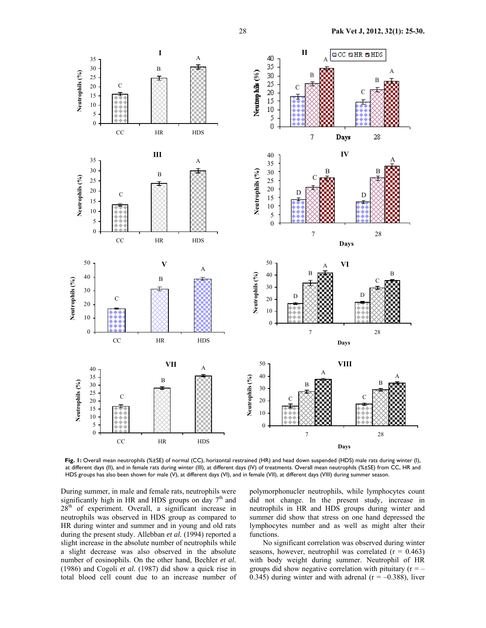

**Fig. 1:** Overall mean neutrophils (%±SE) of normal (CC), horizontal restrained (HR) and head down suspended (HDS) male rats during winter (I), at different days (II), and in female rats during winter (III), at different days (IV) of treatments. Overall mean neutrophils (%±SE) from CC, HR and HDS groups has also been shown for male (V), at different days (VI), and in female (VII), at different days (VIII) during summer season.

During summer, in male and female rats, neutrophils were significantly high in HR and HDS groups on day  $7<sup>th</sup>$  and  $28<sup>th</sup>$  of experiment. Overall, a significant increase in neutrophils was observed in HDS group as compared to HR during winter and summer and in young and old rats during the present study. Allebban *et al.* (1994) reported a slight increase in the absolute number of neutrophils while a slight decrease was also observed in the absolute number of eosinophils. On the other hand, Bechler *et al.* (1986) and Cogoli *et al.* (1987) did show a quick rise in total blood cell count due to an increase number of polymorphonucler neutrophils, while lymphocytes count did not change. In the present study, increase in neutrophils in HR and HDS groups during winter and summer did show that stress on one hand depressed the lymphocytes number and as well as might alter their functions.

No significant correlation was observed during winter seasons, however, neutrophil was correlated  $(r = 0.463)$ with body weight during summer. Neutrophil of HR groups did show negative correlation with pituitary  $(r = -$ 0.345) during winter and with adrenal  $(r = -0.388)$ , liver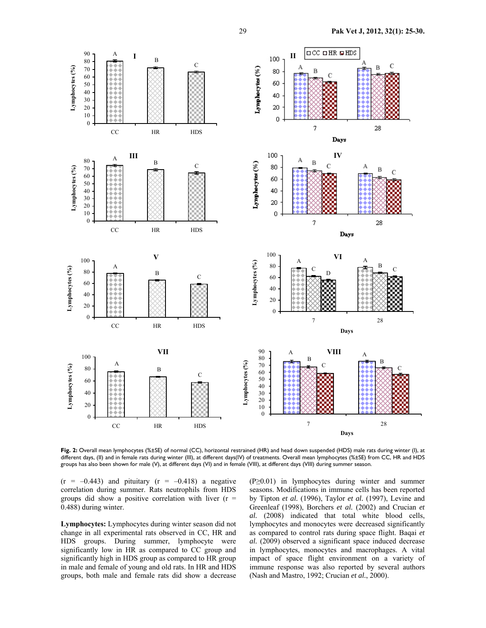

**Fig. 2:** Overall mean lymphocytes (%±SE) of normal (CC), horizontal restrained (HR) and head down suspended (HDS) male rats during winter (I), at different days, (II) and in female rats during winter (III), at different days(IV) of treatments. Overall mean lymphocytes (%±SE) from CC, HR and HDS groups has also been shown for male (V), at different days (VI) and in female (VIII), at different days (VIII) during summer season.

 $(r = -0.443)$  and pituitary  $(r = -0.418)$  a negative correlation during summer. Rats neutrophils from HDS groups did show a positive correlation with liver  $(r =$ 0.488) during winter.

**Lymphocytes:** Lymphocytes during winter season did not change in all experimental rats observed in CC, HR and HDS groups. During summer, lymphocyte were significantly low in HR as compared to CC group and significantly high in HDS group as compared to HR group in male and female of young and old rats. In HR and HDS groups, both male and female rats did show a decrease

(P≥0.01) in lymphocytes during winter and summer seasons. Modifications in immune cells has been reported by Tipton *et al.* (1996), Taylor *et al.* (1997), Levine and Greenleaf (1998), Borchers *et al.* (2002) and Crucian *et al.* (2008) indicated that total white blood cells, lymphocytes and monocytes were decreased significantly as compared to control rats during space flight. Baqai *et al.* (2009) observed a significant space induced decrease in lymphocytes, monocytes and macrophages. A vital impact of space flight environment on a variety of immune response was also reported by several authors (Nash and Mastro, 1992; Crucian *et al.*, 2000).